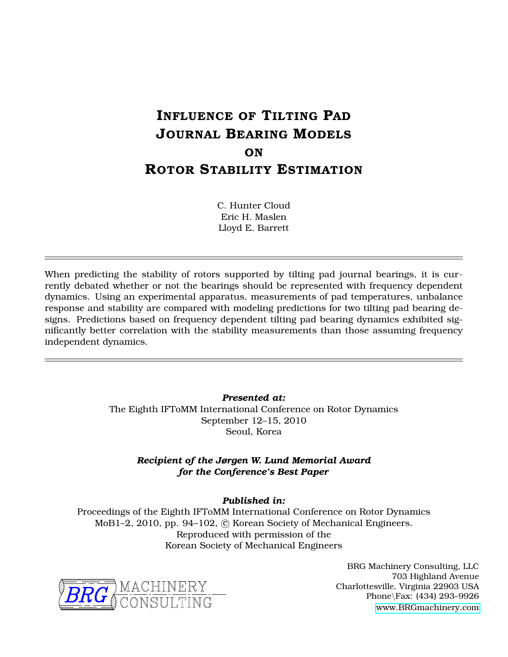# **INFLUENCE OF TILTING PAD JOURNAL BEARING MODELS ON ROTOR STABILITY ESTIMATION**

C. Hunter Cloud Eric H. Maslen Lloyd E. Barrett

When predicting the stability of rotors supported by tilting pad journal bearings, it is currently debated whether or not the bearings should be represented with frequency dependent dynamics. Using an experimental apparatus, measurements of pad temperatures, unbalance response and stability are compared with modeling predictions for two tilting pad bearing designs. Predictions based on frequency dependent tilting pad bearing dynamics exhibited significantly better correlation with the stability measurements than those assuming frequency independent dynamics.

> *Presented at:* The Eighth IFToMM International Conference on Rotor Dynamics September 12–15, 2010 Seoul, Korea

*Recipient of the Jørgen W. Lund Memorial Award for the Conference's Best Paper*

*Published in:*

Proceedings of the Eighth IFToMM International Conference on Rotor Dynamics MoB1–2, 2010, pp. 94–102, c Korean Society of Mechanical Engineers. Reproduced with permission of the Korean Society of Mechanical Engineers



BRG Machinery Consulting, LLC 703 Highland Avenue Charlottesville, Virginia 22903 USA Phone\Fax: (434) 293–9926 [www.BRGmachinery.com](http://www.BRGmachinery.com)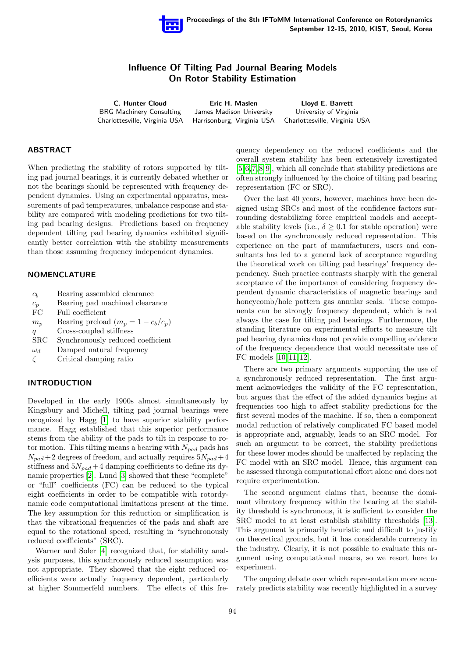# Influence Of Tilting Pad Journal Bearing Models On Rotor Stability Estimation

C. Hunter Cloud Eric H. Maslen Lloyd E. Barrett BRG Machinery Consulting James Madison University University of Virginia Charlottesville, Virginia USA Harrisonburg, Virginia USA Charlottesville, Virginia USA

## ABSTRACT

When predicting the stability of rotors supported by tilting pad journal bearings, it is currently debated whether or not the bearings should be represented with frequency dependent dynamics. Using an experimental apparatus, measurements of pad temperatures, unbalance response and stability are compared with modeling predictions for two tilting pad bearing designs. Predictions based on frequency dependent tilting pad bearing dynamics exhibited significantly better correlation with the stability measurements than those assuming frequency independent dynamics.

#### NOMENCLATURE

- $c_b$  Bearing assembled clearance
- $c_p$  Bearing pad machined clearance<br>FC Full coefficient
- Full coefficient
- $m_p$  Bearing preload  $(m_p = 1 c_b/c_p)$
- q Cross-coupled stiffness
- SRC Synchronously reduced coefficient
- $\omega_d$  Damped natural frequency
- $\zeta$  Critical damping ratio

# INTRODUCTION

Developed in the early 1900s almost simultaneously by Kingsbury and Michell, tilting pad journal bearings were recognized by Hagg [\[1\]](#page-9-0) to have superior stability performance. Hagg established that this superior performance stems from the ability of the pads to tilt in response to rotor motion. This tilting means a bearing with  $N_{pad}$  pads has  $N_{pad}+2$  degrees of freedom, and actually requires  $5N_{pad}+4$ stiffness and  $5N_{pad} + 4$  damping coefficients to define its dynamic properties [\[2\]](#page-9-1). Lund [\[3\]](#page-9-2) showed that these "complete" or "full" coefficients (FC) can be reduced to the typical eight coefficients in order to be compatible with rotordynamic code computational limitations present at the time. The key assumption for this reduction or simplification is that the vibrational frequencies of the pads and shaft are equal to the rotational speed, resulting in "synchronously reduced coefficients" (SRC).

Warner and Soler [\[4\]](#page-9-3) recognized that, for stability analysis purposes, this synchronously reduced assumption was not appropriate. They showed that the eight reduced coefficients were actually frequency dependent, particularly at higher Sommerfeld numbers. The effects of this frequency dependency on the reduced coefficients and the overall system stability has been extensively investigated [\[5,](#page-9-4)[6,](#page-9-5)[7,](#page-9-6)[8,](#page-9-7)[9\]](#page-9-8), which all conclude that stability predictions are often strongly influenced by the choice of tilting pad bearing representation (FC or SRC).

Over the last 40 years, however, machines have been designed using SRCs and most of the confidence factors surrounding destabilizing force empirical models and acceptable stability levels (i.e.,  $\delta \geq 0.1$  for stable operation) were based on the synchronously reduced representation. This experience on the part of manufacturers, users and consultants has led to a general lack of acceptance regarding the theoretical work on tilting pad bearings' frequency dependency. Such practice contrasts sharply with the general acceptance of the importance of considering frequency dependent dynamic characteristics of magnetic bearings and honeycomb/hole pattern gas annular seals. These components can be strongly frequency dependent, which is not always the case for tilting pad bearings. Furthermore, the standing literature on experimental efforts to measure tilt pad bearing dynamics does not provide compelling evidence of the frequency dependence that would necessitate use of FC models [\[10,](#page-9-9) [11,](#page-9-10) [12\]](#page-9-11).

There are two primary arguments supporting the use of a synchronously reduced representation. The first argument acknowledges the validity of the FC representation, but argues that the effect of the added dynamics begins at frequencies too high to affect stability predictions for the first several modes of the machine. If so, then a component modal reduction of relatively complicated FC based model is appropriate and, arguably, leads to an SRC model. For such an argument to be correct, the stability predictions for these lower modes should be unaffected by replacing the FC model with an SRC model. Hence, this argument can be assessed through computational effort alone and does not require experimentation.

The second argument claims that, because the dominant vibratory frequency within the bearing at the stability threshold is synchronous, it is sufficient to consider the SRC model to at least establish stability thresholds [\[13\]](#page-9-12). This argument is primarily heuristic and difficult to justify on theoretical grounds, but it has considerable currency in the industry. Clearly, it is not possible to evaluate this argument using computational means, so we resort here to experiment.

The ongoing debate over which representation more accurately predicts stability was recently highlighted in a survey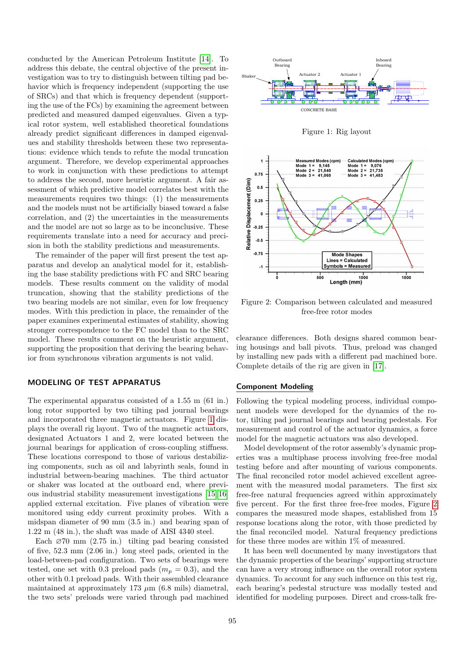conducted by the American Petroleum Institute [\[14\]](#page-9-13). To address this debate, the central objective of the present investigation was to try to distinguish between tilting pad behavior which is frequency independent (supporting the use of SRCs) and that which is frequency dependent (supporting the use of the FCs) by examining the agreement between predicted and measured damped eigenvalues. Given a typical rotor system, well established theoretical foundations already predict significant differences in damped eigenvalues and stability thresholds between these two representations: evidence which tends to refute the modal truncation argument. Therefore, we develop experimental approaches to work in conjunction with these predictions to attempt to address the second, more heuristic argument. A fair assessment of which predictive model correlates best with the measurements requires two things: (1) the measurements and the models must not be artificially biased toward a false correlation, and (2) the uncertainties in the measurements and the model are not so large as to be inconclusive. These requirements translate into a need for accuracy and precision in both the stability predictions and measurements.

The remainder of the paper will first present the test apparatus and develop an analytical model for it, establishing the base stability predictions with FC and SRC bearing models. These results comment on the validity of modal truncation, showing that the stability predictions of the two bearing models are not similar, even for low frequency modes. With this prediction in place, the remainder of the paper examines experimental estimates of stability, showing stronger correspondence to the FC model than to the SRC model. These results comment on the heuristic argument, supporting the proposition that deriving the bearing behavior from synchronous vibration arguments is not valid.

# MODELING OF TEST APPARATUS

The experimental apparatus consisted of a 1.55 m (61 in.) long rotor supported by two tilting pad journal bearings and incorporated three magnetic actuators. Figure [1](#page-2-0) displays the overall rig layout. Two of the magnetic actuators, designated Actuators 1 and 2, were located between the journal bearings for application of cross-coupling stiffness. These locations correspond to those of various destabilizing components, such as oil and labyrinth seals, found in industrial between-bearing machines. The third actuator or shaker was located at the outboard end, where previous industrial stability measurement investigations [\[15,](#page-9-14) [16\]](#page-9-15) applied external excitation. Five planes of vibration were monitored using eddy current proximity probes. With a midspan diameter of 90 mm (3.5 in.) and bearing span of 1.22 m (48 in.), the shaft was made of AISI 4340 steel.

Each  $\varnothing$ 70 mm (2.75 in.) tilting pad bearing consisted of five, 52.3 mm (2.06 in.) long steel pads, oriented in the load-between-pad configuration. Two sets of bearings were tested, one set with 0.3 preload pads  $(m_p = 0.3)$ , and the other with 0.1 preload pads. With their assembled clearance maintained at approximately 173  $\mu$ m (6.8 mils) diametral, the two sets' preloads were varied through pad machined

<span id="page-2-0"></span>

Figure 1: Rig layout

<span id="page-2-1"></span>

Figure 2: Comparison between calculated and measured free-free rotor modes

clearance differences. Both designs shared common bearing housings and ball pivots. Thus, preload was changed by installing new pads with a different pad machined bore. Complete details of the rig are given in [\[17\]](#page-9-16).

#### Component Modeling

Following the typical modeling process, individual component models were developed for the dynamics of the rotor, tilting pad journal bearings and bearing pedestals. For measurement and control of the actuator dynamics, a force model for the magnetic actuators was also developed.

Model development of the rotor assembly's dynamic properties was a multiphase process involving free-free modal testing before and after mounting of various components. The final reconciled rotor model achieved excellent agreement with the measured modal parameters. The first six free-free natural frequencies agreed within approximately five percent. For the first three free-free modes, Figure [2](#page-2-1) compares the measured mode shapes, established from 15 response locations along the rotor, with those predicted by the final reconciled model. Natural frequency predictions for these three modes are within  $1\%$  of measured.

It has been well documented by many investigators that the dynamic properties of the bearings' supporting structure can have a very strong influence on the overall rotor system dynamics. To account for any such influence on this test rig, each bearing's pedestal structure was modally tested and identified for modeling purposes. Direct and cross-talk fre-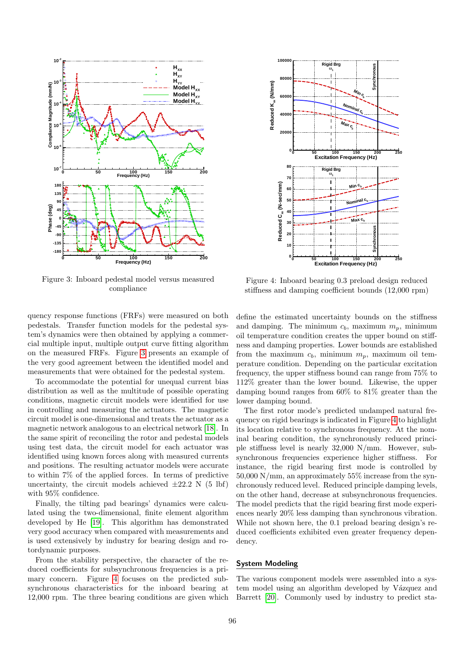<span id="page-3-0"></span>

Figure 3: Inboard pedestal model versus measured compliance

quency response functions (FRFs) were measured on both pedestals. Transfer function models for the pedestal system's dynamics were then obtained by applying a commercial multiple input, multiple output curve fitting algorithm on the measured FRFs. Figure [3](#page-3-0) presents an example of the very good agreement between the identified model and measurements that were obtained for the pedestal system.

To accommodate the potential for unequal current bias distribution as well as the multitude of possible operating conditions, magnetic circuit models were identified for use in controlling and measuring the actuators. The magnetic circuit model is one-dimensional and treats the actuator as a magnetic network analogous to an electrical network [\[18\]](#page-9-17). In the same spirit of reconciling the rotor and pedestal models using test data, the circuit model for each actuator was identified using known forces along with measured currents and positions. The resulting actuator models were accurate to within 7% of the applied forces. In terms of predictive uncertainty, the circuit models achieved  $\pm 22.2$  N (5 lbf) with 95% confidence.

Finally, the tilting pad bearings' dynamics were calculated using the two-dimensional, finite element algorithm developed by He [\[19\]](#page-9-18). This algorithm has demonstrated very good accuracy when compared with measurements and is used extensively by industry for bearing design and rotordynamic purposes.

From the stability perspective, the character of the reduced coefficients for subsynchronous frequencies is a primary concern. Figure [4](#page-3-1) focuses on the predicted subsynchronous characteristics for the inboard bearing at 12,000 rpm. The three bearing conditions are given which

<span id="page-3-1"></span>

Figure 4: Inboard bearing 0.3 preload design reduced stiffness and damping coefficient bounds (12,000 rpm)

define the estimated uncertainty bounds on the stiffness and damping. The minimum  $c_b$ , maximum  $m_p$ , minimum oil temperature condition creates the upper bound on stiffness and damping properties. Lower bounds are established from the maximum  $c_b$ , minimum  $m_p$ , maximum oil temperature condition. Depending on the particular excitation frequency, the upper stiffness bound can range from 75% to 112% greater than the lower bound. Likewise, the upper damping bound ranges from 60% to 81% greater than the lower damping bound.

The first rotor mode's predicted undamped natural frequency on rigid bearings is indicated in Figure [4](#page-3-1) to highlight its location relative to synchronous frequency. At the nominal bearing condition, the synchronously reduced principle stiffness level is nearly 32,000 N/mm. However, subsynchronous frequencies experience higher stiffness. For instance, the rigid bearing first mode is controlled by 50,000 N/mm, an approximately 55% increase from the synchronously reduced level. Reduced principle damping levels, on the other hand, decrease at subsynchronous frequencies. The model predicts that the rigid bearing first mode experiences nearly 20% less damping than synchronous vibration. While not shown here, the 0.1 preload bearing design's reduced coefficients exhibited even greater frequency dependency.

### System Modeling

The various component models were assembled into a system model using an algorithm developed by Vázquez and Barrett [\[20\]](#page-9-19). Commonly used by industry to predict sta-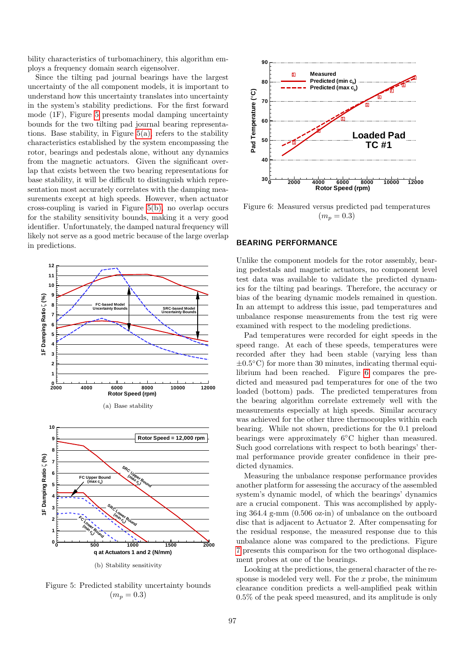bility characteristics of turbomachinery, this algorithm employs a frequency domain search eigensolver.

Since the tilting pad journal bearings have the largest uncertainty of the all component models, it is important to understand how this uncertainty translates into uncertainty in the system's stability predictions. For the first forward mode (1F), Figure [5](#page-4-0) presents modal damping uncertainty bounds for the two tilting pad journal bearing representations. Base stability, in Figure [5\(a\),](#page-4-1) refers to the stability characteristics established by the system encompassing the rotor, bearings and pedestals alone, without any dynamics from the magnetic actuators. Given the significant overlap that exists between the two bearing representations for base stability, it will be difficult to distinguish which representation most accurately correlates with the damping measurements except at high speeds. However, when actuator cross-coupling is varied in Figure [5\(b\),](#page-4-2) no overlap occurs for the stability sensitivity bounds, making it a very good identifier. Unfortunately, the damped natural frequency will likely not serve as a good metric because of the large overlap in predictions.

<span id="page-4-1"></span><span id="page-4-0"></span>

<span id="page-4-2"></span>Figure 5: Predicted stability uncertainty bounds  $(m_p = 0.3)$ 

<span id="page-4-3"></span>

Figure 6: Measured versus predicted pad temperatures  $(m_n = 0.3)$ 

#### BEARING PERFORMANCE

Unlike the component models for the rotor assembly, bearing pedestals and magnetic actuators, no component level test data was available to validate the predicted dynamics for the tilting pad bearings. Therefore, the accuracy or bias of the bearing dynamic models remained in question. In an attempt to address this issue, pad temperatures and unbalance response measurements from the test rig were examined with respect to the modeling predictions.

Pad temperatures were recorded for eight speeds in the speed range. At each of these speeds, temperatures were recorded after they had been stable (varying less than  $\pm 0.5$ °C) for more than 30 minutes, indicating thermal equilibrium had been reached. Figure [6](#page-4-3) compares the predicted and measured pad temperatures for one of the two loaded (bottom) pads. The predicted temperatures from the bearing algorithm correlate extremely well with the measurements especially at high speeds. Similar accuracy was achieved for the other three thermocouples within each bearing. While not shown, predictions for the 0.1 preload bearings were approximately 6◦C higher than measured. Such good correlations with respect to both bearings' thermal performance provide greater confidence in their predicted dynamics.

Measuring the unbalance response performance provides another platform for assessing the accuracy of the assembled system's dynamic model, of which the bearings' dynamics are a crucial component. This was accomplished by applying 364.4 g-mm (0.506 oz-in) of unbalance on the outboard disc that is adjacent to Actuator 2. After compensating for the residual response, the measured response due to this unbalance alone was compared to the predictions. Figure [7](#page-5-0) presents this comparison for the two orthogonal displacement probes at one of the bearings.

Looking at the predictions, the general character of the response is modeled very well. For the  $x$  probe, the minimum clearance condition predicts a well-amplified peak within 0.5% of the peak speed measured, and its amplitude is only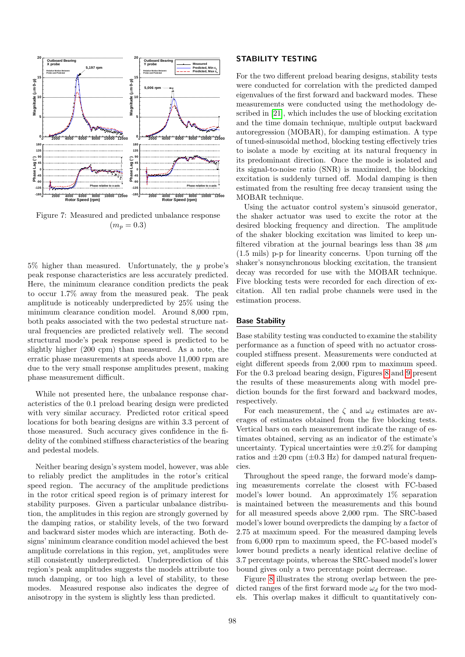<span id="page-5-0"></span>

Figure 7: Measured and predicted unbalance response  $(m_p = 0.3)$ 

 $5\%$  higher than measured. Unfortunately, the y probe's peak response characteristics are less accurately predicted. Here, the minimum clearance condition predicts the peak to occur 1.7% away from the measured peak. The peak amplitude is noticeably underpredicted by 25% using the minimum clearance condition model. Around 8,000 rpm, both peaks associated with the two pedestal structure natural frequencies are predicted relatively well. The second structural mode's peak response speed is predicted to be slightly higher (200 cpm) than measured. As a note, the erratic phase measurements at speeds above 11,000 rpm are due to the very small response amplitudes present, making phase measurement difficult.

While not presented here, the unbalance response characteristics of the 0.1 preload bearing design were predicted with very similar accuracy. Predicted rotor critical speed locations for both bearing designs are within 3.3 percent of those measured. Such accuracy gives confidence in the fidelity of the combined stiffness characteristics of the bearing and pedestal models.

Neither bearing design's system model, however, was able to reliably predict the amplitudes in the rotor's critical speed region. The accuracy of the amplitude predictions in the rotor critical speed region is of primary interest for stability purposes. Given a particular unbalance distribution, the amplitudes in this region are strongly governed by the damping ratios, or stability levels, of the two forward and backward sister modes which are interacting. Both designs' minimum clearance condition model achieved the best amplitude correlations in this region, yet, amplitudes were still consistently underpredicted. Underprediction of this region's peak amplitudes suggests the models attribute too much damping, or too high a level of stability, to these modes. Measured response also indicates the degree of anisotropy in the system is slightly less than predicted.

#### STABILITY TESTING

For the two different preload bearing designs, stability tests were conducted for correlation with the predicted damped eigenvalues of the first forward and backward modes. These measurements were conducted using the methodology described in [\[21\]](#page-9-20), which includes the use of blocking excitation and the time domain technique, multiple output backward autoregression (MOBAR), for damping estimation. A type of tuned-sinusoidal method, blocking testing effectively tries to isolate a mode by exciting at its natural frequency in its predominant direction. Once the mode is isolated and its signal-to-noise ratio (SNR) is maximized, the blocking excitation is suddenly turned off. Modal damping is then estimated from the resulting free decay transient using the MOBAR technique.

Using the actuator control system's sinusoid generator, the shaker actuator was used to excite the rotor at the desired blocking frequency and direction. The amplitude of the shaker blocking excitation was limited to keep unfiltered vibration at the journal bearings less than 38  $\mu$ m (1.5 mils) p-p for linearity concerns. Upon turning off the shaker's nonsynchronous blocking excitation, the transient decay was recorded for use with the MOBAR technique. Five blocking tests were recorded for each direction of excitation. All ten radial probe channels were used in the estimation process.

#### Base Stability

Base stability testing was conducted to examine the stability performance as a function of speed with no actuator crosscoupled stiffness present. Measurements were conducted at eight different speeds from 2,000 rpm to maximum speed. For the 0.3 preload bearing design, Figures [8](#page-6-0) and [9](#page-6-1) present the results of these measurements along with model prediction bounds for the first forward and backward modes, respectively.

For each measurement, the  $\zeta$  and  $\omega_d$  estimates are averages of estimates obtained from the five blocking tests. Vertical bars on each measurement indicate the range of estimates obtained, serving as an indicator of the estimate's uncertainty. Typical uncertainties were  $\pm 0.2\%$  for damping ratios and  $\pm 20$  cpm ( $\pm 0.3$  Hz) for damped natural frequencies.

Throughout the speed range, the forward mode's damping measurements correlate the closest with FC-based model's lower bound. An approximately 1% separation is maintained between the measurements and this bound for all measured speeds above 2,000 rpm. The SRC-based model's lower bound overpredicts the damping by a factor of 2.75 at maximum speed. For the measured damping levels from 6,000 rpm to maximum speed, the FC-based model's lower bound predicts a nearly identical relative decline of 3.7 percentage points, whereas the SRC-based model's lower bound gives only a two percentage point decrease.

Figure [8](#page-6-0) illustrates the strong overlap between the predicted ranges of the first forward mode  $\omega_d$  for the two models. This overlap makes it difficult to quantitatively con-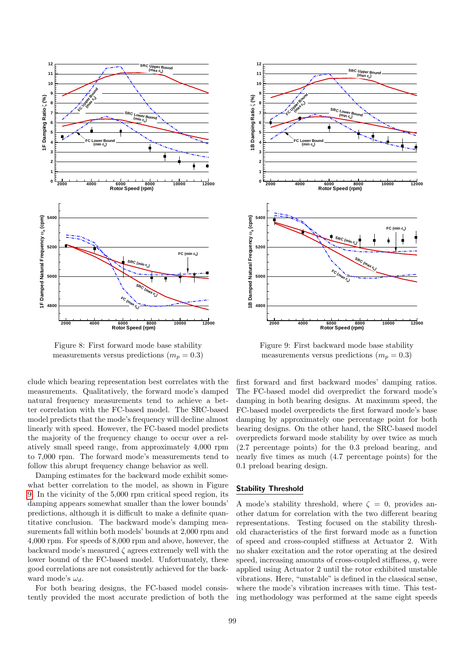<span id="page-6-0"></span>

Figure 8: First forward mode base stability measurements versus predictions  $(m_p = 0.3)$ 

clude which bearing representation best correlates with the measurements. Qualitatively, the forward mode's damped natural frequency measurements tend to achieve a better correlation with the FC-based model. The SRC-based model predicts that the mode's frequency will decline almost linearly with speed. However, the FC-based model predicts the majority of the frequency change to occur over a relatively small speed range, from approximately 4,000 rpm to 7,000 rpm. The forward mode's measurements tend to follow this abrupt frequency change behavior as well.

Damping estimates for the backward mode exhibit somewhat better correlation to the model, as shown in Figure [9.](#page-6-1) In the vicinity of the 5,000 rpm critical speed region, its damping appears somewhat smaller than the lower bounds' predictions, although it is difficult to make a definite quantitative conclusion. The backward mode's damping measurements fall within both models' bounds at 2,000 rpm and 4,000 rpm. For speeds of 8,000 rpm and above, however, the backward mode's measured  $\zeta$  agrees extremely well with the lower bound of the FC-based model. Unfortunately, these good correlations are not consistently achieved for the backward mode's  $\omega_d$ .

For both bearing designs, the FC-based model consistently provided the most accurate prediction of both the

<span id="page-6-1"></span>

Figure 9: First backward mode base stability measurements versus predictions  $(m_p = 0.3)$ 

first forward and first backward modes' damping ratios. The FC-based model did overpredict the forward mode's damping in both bearing designs. At maximum speed, the FC-based model overpredicts the first forward mode's base damping by approximately one percentage point for both bearing designs. On the other hand, the SRC-based model overpredicts forward mode stability by over twice as much (2.7 percentage points) for the 0.3 preload bearing, and nearly five times as much (4.7 percentage points) for the 0.1 preload bearing design.

#### Stability Threshold

A mode's stability threshold, where  $\zeta = 0$ , provides another datum for correlation with the two different bearing representations. Testing focused on the stability threshold characteristics of the first forward mode as a function of speed and cross-coupled stiffness at Actuator 2. With no shaker excitation and the rotor operating at the desired speed, increasing amounts of cross-coupled stiffness, q, were applied using Actuator 2 until the rotor exhibited unstable vibrations. Here, "unstable" is defined in the classical sense, where the mode's vibration increases with time. This testing methodology was performed at the same eight speeds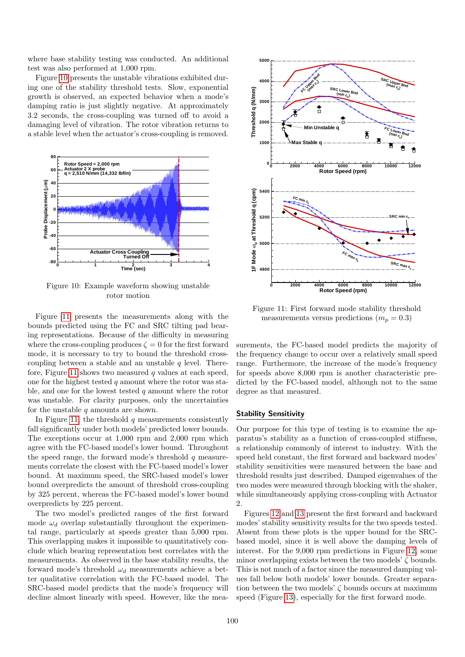where base stability testing was conducted. An additional test was also performed at 1,000 rpm.

Figure [10](#page-7-0) presents the unstable vibrations exhibited during one of the stability threshold tests. Slow, exponential growth is observed, an expected behavior when a mode's damping ratio is just slightly negative. At approximately 3.2 seconds, the cross-coupling was turned off to avoid a damaging level of vibration. The rotor vibration returns to a stable level when the actuator's cross-coupling is removed.

<span id="page-7-0"></span>

Figure 10: Example waveform showing unstable rotor motion

Figure [11](#page-7-1) presents the measurements along with the bounds predicted using the FC and SRC tilting pad bearing representations. Because of the difficulty in measuring where the cross-coupling produces  $\zeta = 0$  for the first forward mode, it is necessary to try to bound the threshold crosscoupling between a stable and an unstable  $q$  level. There-fore, Figure [11](#page-7-1) shows two measured  $q$  values at each speed, one for the highest tested  $q$  amount where the rotor was stable, and one for the lowest tested  $q$  amount where the rotor was unstable. For clarity purposes, only the uncertainties for the unstable  $q$  amounts are shown.

In Figure [11,](#page-7-1) the threshold  $q$  measurements consistently fall significantly under both models' predicted lower bounds. The exceptions occur at 1,000 rpm and 2,000 rpm which agree with the FC-based model's lower bound. Throughout the speed range, the forward mode's threshold  $q$  measurements correlate the closest with the FC-based model's lower bound. At maximum speed, the SRC-based model's lower bound overpredicts the amount of threshold cross-coupling by 325 percent, whereas the FC-based model's lower bound overpredicts by 225 percent.

The two model's predicted ranges of the first forward mode  $\omega_d$  overlap substantially throughout the experimental range, particularly at speeds greater than 5,000 rpm. This overlapping makes it impossible to quantitatively conclude which bearing representation best correlates with the measurements. As observed in the base stability results, the forward mode's threshold  $\omega_d$  measurements achieve a better qualitative correlation with the FC-based model. The SRC-based model predicts that the mode's frequency will decline almost linearly with speed. However, like the mea-

<span id="page-7-1"></span>

Figure 11: First forward mode stability threshold measurements versus predictions  $(m_p = 0.3)$ 

surements, the FC-based model predicts the majority of the frequency change to occur over a relatively small speed range. Furthermore, the increase of the mode's frequency for speeds above 8,000 rpm is another characteristic predicted by the FC-based model, although not to the same degree as that measured.

## Stability Sensitivity

Our purpose for this type of testing is to examine the apparatus's stability as a function of cross-coupled stiffness, a relationship commonly of interest to industry. With the speed held constant, the first forward and backward modes' stability sensitivities were measured between the base and threshold results just described. Damped eigenvalues of the two modes were measured through blocking with the shaker, while simultaneously applying cross-coupling with Actuator 2.

Figures [12](#page-8-0) and [13](#page-8-1) present the first forward and backward modes' stability sensitivity results for the two speeds tested. Absent from these plots is the upper bound for the SRCbased model, since it is well above the damping levels of interest. For the 9,000 rpm predictions in Figure [12,](#page-8-0) some minor overlapping exists between the two models'  $\zeta$  bounds. This is not much of a factor since the measured damping values fall below both models' lower bounds. Greater separation between the two models' ζ bounds occurs at maximum speed (Figure [13\)](#page-8-1), especially for the first forward mode.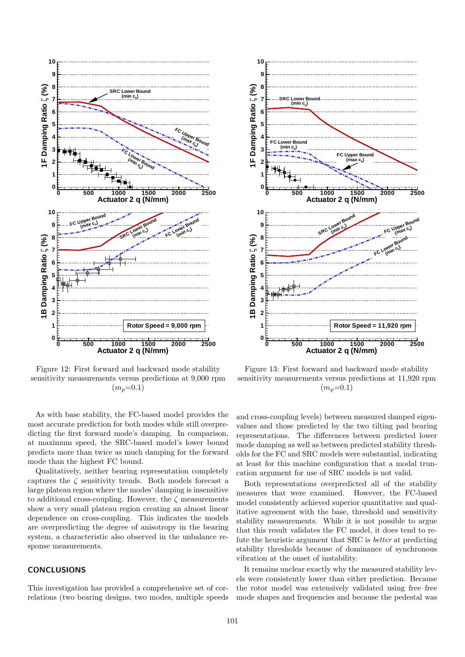<span id="page-8-0"></span>

Figure 12: First forward and backward mode stability sensitivity measurements versus predictions at 9,000 rpm  $(m_p=0.1)$ 

As with base stability, the FC-based model provides the most accurate prediction for both modes while still overpredicting the first forward mode's damping. In comparison, at maximum speed, the SRC-based model's lower bound predicts more than twice as much damping for the forward mode than the highest FC bound.

Qualitatively, neither bearing representation completely captures the  $\zeta$  sensitivity trends. Both models forecast a large plateau region where the modes' damping is insensitive to additional cross-coupling. However, the  $\zeta$  measurements show a very small plateau region creating an almost linear dependence on cross-coupling. This indicates the models are overpredicting the degree of anisotropy in the bearing system, a characteristic also observed in the unbalance response measurements.

# CONCLUSIONS

This investigation has provided a comprehensive set of correlations (two bearing designs, two modes, multiple speeds

<span id="page-8-1"></span>

Figure 13: First forward and backward mode stability sensitivity measurements versus predictions at 11,920 rpm  $(m_p=0.1)$ 

and cross-coupling levels) between measured damped eigenvalues and those predicted by the two tilting pad bearing representations. The differences between predicted lower mode damping as well as between predicted stability thresholds for the FC and SRC models were substantial, indicating at least for this machine configuration that a modal truncation argument for use of SRC models is not valid.

Both representations overpredicted all of the stability measures that were examined. However, the FC-based model consistently achieved superior quantitative and qualitative agreement with the base, threshold and sensitivity stability measurements. While it is not possible to argue that this result validates the FC model, it does tend to refute the heuristic argument that SRC is better at predicting stability thresholds because of dominance of synchronous vibration at the onset of instability.

It remains unclear exactly why the measured stability levels were consistently lower than either prediction. Because the rotor model was extensively validated using free–free mode shapes and frequencies and because the pedestal was